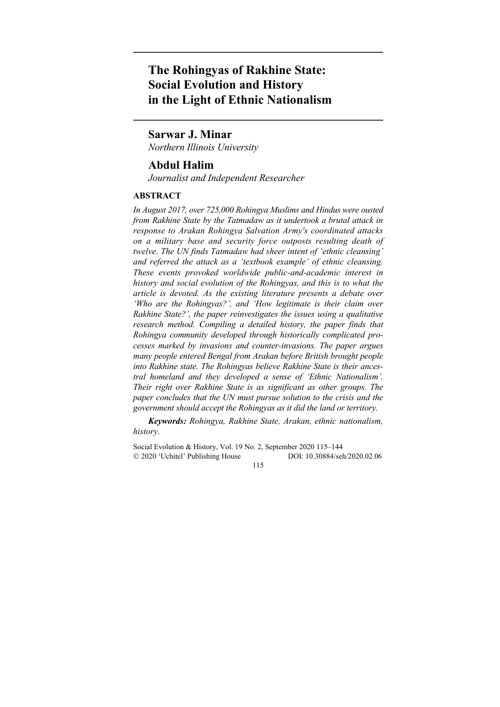# **The Rohingyas of Rakhine State: Social Evolution and History in the Light of Ethnic Nationalism**

## **Sarwar J. Minar**

*Northern Illinois University* 

## **Abdul Halim**

*Journalist and Independent Researcher* 

## **ABSTRACT**

*In August 2017, over 725,000 Rohingya Muslims and Hindus were ousted from Rakhine State by the Tatmadaw as it undertook a brutal attack in response to Arakan Rohingya Salvation Army's coordinated attacks on a military base and security force outposts resulting death of twelve. The UN finds Tatmadaw had sheer intent of 'ethnic cleansing' and referred the attack as a 'textbook example' of ethnic cleansing. These events provoked worldwide public-and-academic interest in history and social evolution of the Rohingyas, and this is to what the article is devoted. As the existing literature presents a debate over 'Who are the Rohingyas?', and 'How legitimate is their claim over Rakhine State?', the paper reinvestigates the issues using a qualitative*  research method. Compiling a detailed history, the paper finds that *Rohingya community developed through historically complicated processes marked by invasions and counter-invasions. The paper argues many people entered Bengal from Arakan before British brought people into Rakhine state. The Rohingyas believe Rakhine State is their ancestral homeland and they developed a sense of 'Ethnic Nationalism'. Their right over Rakhine State is as significant as other groups. The paper concludes that the UN must pursue solution to the crisis and the government should accept the Rohingyas as it did the land or territory.* 

*Keywords: Rohingya, Rakhine State, Arakan, ethnic nationalism, history.* 

Social Evolution & History, Vol. 19 No. 2, September 2020 115–144 2020 'Uchitel' Publishing House DOI: 10.30884/seh/2020.02.06

115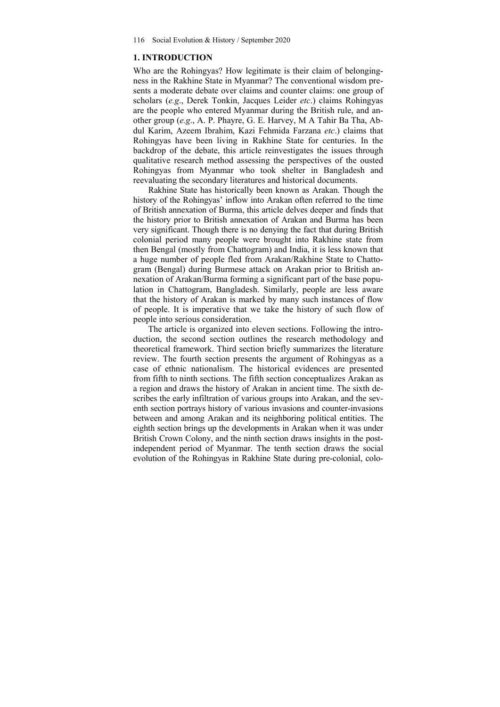#### **1. INTRODUCTION**

Who are the Rohingyas? How legitimate is their claim of belongingness in the Rakhine State in Myanmar? The conventional wisdom presents a moderate debate over claims and counter claims: one group of scholars (*e.g*., Derek Tonkin, Jacques Leider *etc*.) claims Rohingyas are the people who entered Myanmar during the British rule, and another group (*e.g*., A. P. Phayre, G. E. Harvey, M A Tahir Ba Tha, Abdul Karim, Azeem Ibrahim, Kazi Fehmida Farzana *etc*.) claims that Rohingyas have been living in Rakhine State for centuries. In the backdrop of the debate, this article reinvestigates the issues through qualitative research method assessing the perspectives of the ousted Rohingyas from Myanmar who took shelter in Bangladesh and reevaluating the secondary literatures and historical documents.

Rakhine State has historically been known as Arakan. Though the history of the Rohingyas' inflow into Arakan often referred to the time of British annexation of Burma, this article delves deeper and finds that the history prior to British annexation of Arakan and Burma has been very significant. Though there is no denying the fact that during British colonial period many people were brought into Rakhine state from then Bengal (mostly from Chattogram) and India, it is less known that a huge number of people fled from Arakan/Rakhine State to Chattogram (Bengal) during Burmese attack on Arakan prior to British annexation of Arakan/Burma forming a significant part of the base population in Chattogram, Bangladesh. Similarly, people are less aware that the history of Arakan is marked by many such instances of flow of people. It is imperative that we take the history of such flow of people into serious consideration.

The article is organized into eleven sections. Following the introduction, the second section outlines the research methodology and theoretical framework. Third section briefly summarizes the literature review. The fourth section presents the argument of Rohingyas as a case of ethnic nationalism. The historical evidences are presented from fifth to ninth sections. The fifth section conceptualizes Arakan as a region and draws the history of Arakan in ancient time. The sixth describes the early infiltration of various groups into Arakan, and the seventh section portrays history of various invasions and counter-invasions between and among Arakan and its neighboring political entities. The eighth section brings up the developments in Arakan when it was under British Crown Colony, and the ninth section draws insights in the postindependent period of Myanmar. The tenth section draws the social evolution of the Rohingyas in Rakhine State during pre-colonial, colo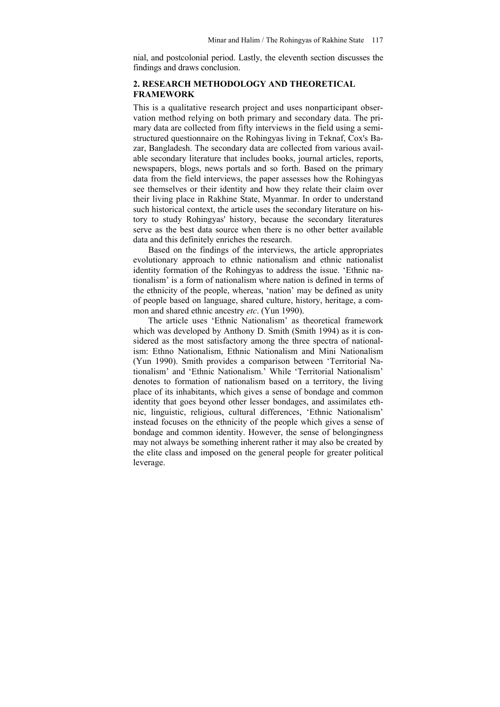nial, and postcolonial period. Lastly, the eleventh section discusses the findings and draws conclusion.

## **2. RESEARCH METHODOLOGY AND THEORETICAL FRAMEWORK**

This is a qualitative research project and uses nonparticipant observation method relying on both primary and secondary data. The primary data are collected from fifty interviews in the field using a semistructured questionnaire on the Rohingyas living in Teknaf, Cox's Bazar, Bangladesh. The secondary data are collected from various available secondary literature that includes books, journal articles, reports, newspapers, blogs, news portals and so forth. Based on the primary data from the field interviews, the paper assesses how the Rohingyas see themselves or their identity and how they relate their claim over their living place in Rakhine State, Myanmar. In order to understand such historical context, the article uses the secondary literature on history to study Rohingyas' history, because the secondary literatures serve as the best data source when there is no other better available data and this definitely enriches the research.

Based on the findings of the interviews, the article appropriates evolutionary approach to ethnic nationalism and ethnic nationalist identity formation of the Rohingyas to address the issue. 'Ethnic nationalism' is a form of nationalism where nation is defined in terms of the ethnicity of the people, whereas, 'nation' may be defined as unity of people based on language, shared culture, history, heritage, a common and shared ethnic ancestry *etc*. (Yun 1990).

The article uses 'Ethnic Nationalism' as theoretical framework which was developed by Anthony D. Smith (Smith 1994) as it is considered as the most satisfactory among the three spectra of nationalism: Ethno Nationalism, Ethnic Nationalism and Mini Nationalism (Yun 1990). Smith provides a comparison between 'Territorial Nationalism' and 'Ethnic Nationalism.' While 'Territorial Nationalism' denotes to formation of nationalism based on a territory, the living place of its inhabitants, which gives a sense of bondage and common identity that goes beyond other lesser bondages, and assimilates ethnic, linguistic, religious, cultural differences, 'Ethnic Nationalism' instead focuses on the ethnicity of the people which gives a sense of bondage and common identity. However, the sense of belongingness may not always be something inherent rather it may also be created by the elite class and imposed on the general people for greater political leverage.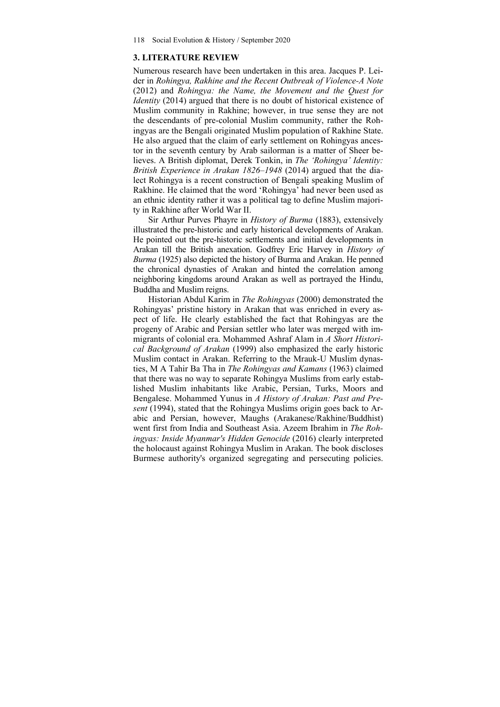#### **3. LITERATURE REVIEW**

Numerous research have been undertaken in this area. Jacques P. Leider in *Rohingya, Rakhine and the Recent Outbreak of Violence-A Note* (2012) and *Rohingya: the Name, the Movement and the Quest for Identity* (2014) argued that there is no doubt of historical existence of Muslim community in Rakhine; however, in true sense they are not the descendants of pre-colonial Muslim community, rather the Rohingyas are the Bengali originated Muslim population of Rakhine State. He also argued that the claim of early settlement on Rohingyas ancestor in the seventh century by Arab sailorman is a matter of Sheer believes. A British diplomat, Derek Tonkin, in *The 'Rohingya' Identity: British Experience in Arakan 1826–1948* (2014) argued that the dialect Rohingya is a recent construction of Bengali speaking Muslim of Rakhine. He claimed that the word 'Rohingya' had never been used as an ethnic identity rather it was a political tag to define Muslim majority in Rakhine after World War II.

Sir Arthur Purves Phayre in *History of Burma* (1883), extensively illustrated the pre-historic and early historical developments of Arakan. He pointed out the pre-historic settlements and initial developments in Arakan till the British anexation. Godfrey Eric Harvey in *History of Burma* (1925) also depicted the history of Burma and Arakan. He penned the chronical dynasties of Arakan and hinted the correlation among neighboring kingdoms around Arakan as well as portrayed the Hindu, Buddha and Muslim reigns.

Historian Abdul Karim in *The Rohingyas* (2000) demonstrated the Rohingyas' pristine history in Arakan that was enriched in every aspect of life. He clearly established the fact that Rohingyas are the progeny of Arabic and Persian settler who later was merged with immigrants of colonial era. Mohammed Ashraf Alam in *A Short Historical Background of Arakan* (1999) also emphasized the early historic Muslim contact in Arakan. Referring to the Mrauk-U Muslim dynasties, M A Tahir Ba Tha in *The Rohingyas and Kamans* (1963) claimed that there was no way to separate Rohingya Muslims from early established Muslim inhabitants like Arabic, Persian, Turks, Moors and Bengalese. Mohammed Yunus in *A History of Arakan: Past and Present* (1994), stated that the Rohingya Muslims origin goes back to Arabic and Persian, however, Maughs (Arakanese/Rakhine/Buddhist) went first from India and Southeast Asia. Azeem Ibrahim in *The Rohingyas: Inside Myanmar's Hidden Genocide* (2016) clearly interpreted the holocaust against Rohingya Muslim in Arakan. The book discloses Burmese authority's organized segregating and persecuting policies.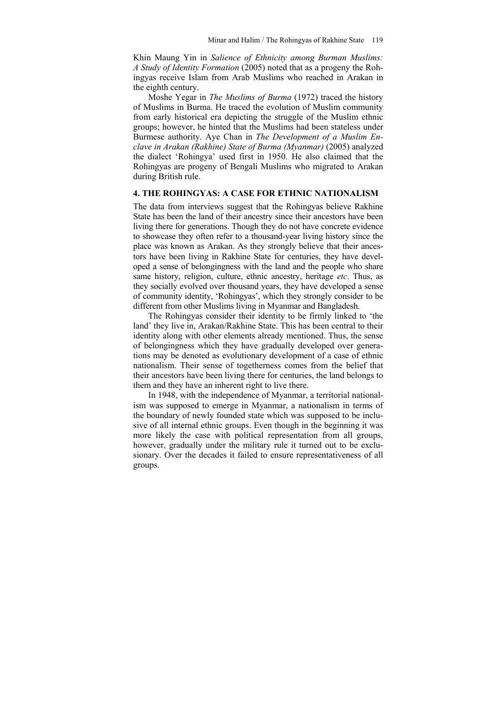Khin Maung Yin in *Salience of Ethnicity among Burman Muslims: A Study of Identity Formation* (2005) noted that as a progeny the Rohingyas receive Islam from Arab Muslims who reached in Arakan in the eighth century.

Moshe Yegar in *The Muslims of Burma* (1972) traced the history of Muslims in Burma. He traced the evolution of Muslim community from early historical era depicting the struggle of the Muslim ethnic groups; however, he hinted that the Muslims had been stateless under Burmese authority. Aye Chan in *The Development of a Muslim Enclave in Arakan (Rakhine) State of Burma (Myanmar)* (2005) analyzed the dialect 'Rohingya' used first in 1950. He also claimed that the Rohingyas are progeny of Bengali Muslims who migrated to Arakan during British rule.

## **4. THE ROHINGYAS: A CASE FOR ETHNIC NATIONALISM**

The data from interviews suggest that the Rohingyas believe Rakhine State has been the land of their ancestry since their ancestors have been living there for generations. Though they do not have concrete evidence to showcase they often refer to a thousand-year living history since the place was known as Arakan. As they strongly believe that their ancestors have been living in Rakhine State for centuries, they have developed a sense of belongingness with the land and the people who share same history, religion, culture, ethnic ancestry, heritage *etc*. Thus, as they socially evolved over thousand years, they have developed a sense of community identity, 'Rohingyas', which they strongly consider to be different from other Muslims living in Myanmar and Bangladesh.

The Rohingyas consider their identity to be firmly linked to 'the land' they live in, Arakan/Rakhine State. This has been central to their identity along with other elements already mentioned. Thus, the sense of belongingness which they have gradually developed over generations may be denoted as evolutionary development of a case of ethnic nationalism. Their sense of togetherness comes from the belief that their ancestors have been living there for centuries, the land belongs to them and they have an inherent right to live there.

In 1948, with the independence of Myanmar, a territorial nationalism was supposed to emerge in Myanmar, a nationalism in terms of the boundary of newly founded state which was supposed to be inclusive of all internal ethnic groups. Even though in the beginning it was more likely the case with political representation from all groups, however, gradually under the military rule it turned out to be exclusionary. Over the decades it failed to ensure representativeness of all groups.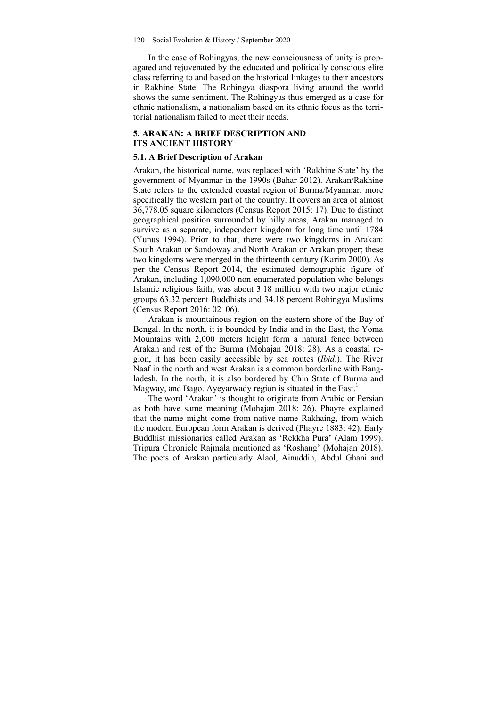In the case of Rohingyas, the new consciousness of unity is propagated and rejuvenated by the educated and politically conscious elite class referring to and based on the historical linkages to their ancestors in Rakhine State. The Rohingya diaspora living around the world shows the same sentiment. The Rohingyas thus emerged as a case for ethnic nationalism, a nationalism based on its ethnic focus as the territorial nationalism failed to meet their needs.

#### **5. ARAKAN: A BRIEF DESCRIPTION AND ITS ANCIENT HISTORY**

#### **5.1. A Brief Description of Arakan**

Arakan, the historical name, was replaced with 'Rakhine State' by the government of Myanmar in the 1990s (Bahar 2012). Arakan/Rakhine State refers to the extended coastal region of Burma/Myanmar, more specifically the western part of the country. It covers an area of almost 36,778.05 square kilometers (Census Report 2015: 17). Due to distinct geographical position surrounded by hilly areas, Arakan managed to survive as a separate, independent kingdom for long time until 1784 (Yunus 1994). Prior to that, there were two kingdoms in Arakan: South Arakan or Sandoway and North Arakan or Arakan proper; these two kingdoms were merged in the thirteenth century (Karim 2000). As per the Census Report 2014, the estimated demographic figure of Arakan, including 1,090,000 non-enumerated population who belongs Islamic religious faith, was about 3.18 million with two major ethnic groups 63.32 percent Buddhists and 34.18 percent Rohingya Muslims (Census Report 2016: 02–06).

Arakan is mountainous region on the eastern shore of the Bay of Bengal. In the north, it is bounded by India and in the East, the Yoma Mountains with 2,000 meters height form a natural fence between Arakan and rest of the Burma (Mohajan 2018: 28). As a coastal region, it has been easily accessible by sea routes (*Ibid*.). The River Naaf in the north and west Arakan is a common borderline with Bangladesh. In the north, it is also bordered by Chin State of Burma and Magway, and Bago. Ayeyarwady region is situated in the East.<sup>1</sup>

The word 'Arakan' is thought to originate from Arabic or Persian as both have same meaning (Mohajan 2018: 26). Phayre explained that the name might come from native name Rakhaing, from which the modern European form Arakan is derived (Phayre 1883: 42). Early Buddhist missionaries called Arakan as 'Rekkha Pura' (Alam 1999). Tripura Chronicle Rajmala mentioned as 'Roshang' (Mohajan 2018). The poets of Arakan particularly Alaol, Ainuddin, Abdul Ghani and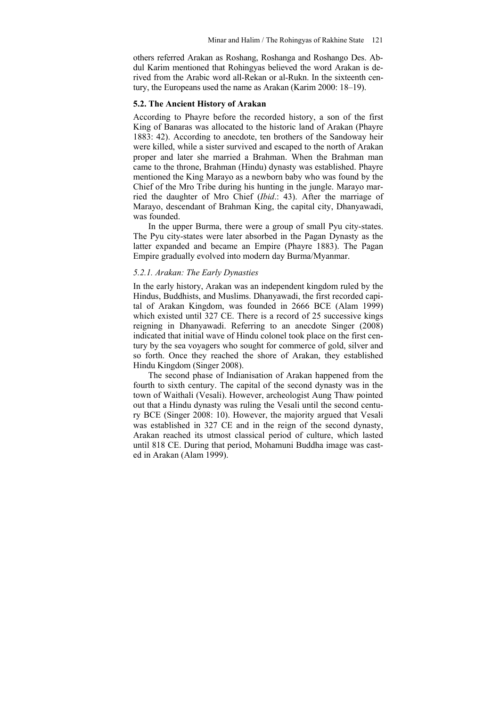others referred Arakan as Roshang, Roshanga and Roshango Des. Abdul Karim mentioned that Rohingyas believed the word Arakan is derived from the Arabic word all-Rekan or al-Rukn. In the sixteenth century, the Europeans used the name as Arakan (Karim 2000: 18–19).

#### **5.2. The Ancient History of Arakan**

According to Phayre before the recorded history, a son of the first King of Banaras was allocated to the historic land of Arakan (Phayre 1883: 42). According to anecdote, ten brothers of the Sandoway heir were killed, while a sister survived and escaped to the north of Arakan proper and later she married a Brahman. When the Brahman man came to the throne, Brahman (Hindu) dynasty was established. Phayre mentioned the King Marayo as a newborn baby who was found by the Chief of the Mro Tribe during his hunting in the jungle. Marayo married the daughter of Mro Chief (*Ibid*.: 43). After the marriage of Marayo, descendant of Brahman King, the capital city, Dhanyawadi, was founded.

In the upper Burma, there were a group of small Pyu city-states. The Pyu city-states were later absorbed in the Pagan Dynasty as the latter expanded and became an Empire (Phayre 1883). The Pagan Empire gradually evolved into modern day Burma/Myanmar.

#### *5.2.1. Arakan: The Early Dynasties*

In the early history, Arakan was an independent kingdom ruled by the Hindus, Buddhists, and Muslims. Dhanyawadi, the first recorded capital of Arakan Kingdom, was founded in 2666 BCE (Alam 1999) which existed until 327 CE. There is a record of 25 successive kings reigning in Dhanyawadi. Referring to an anecdote Singer (2008) indicated that initial wave of Hindu colonel took place on the first century by the sea voyagers who sought for commerce of gold, silver and so forth. Once they reached the shore of Arakan, they established Hindu Kingdom (Singer 2008).

The second phase of Indianisation of Arakan happened from the fourth to sixth century. The capital of the second dynasty was in the town of Waithali (Vesali). However, archeologist Aung Thaw pointed out that a Hindu dynasty was ruling the Vesali until the second century BCE (Singer 2008: 10). However, the majority argued that Vesali was established in 327 CE and in the reign of the second dynasty, Arakan reached its utmost classical period of culture, which lasted until 818 CE. During that period, Mohamuni Buddha image was casted in Arakan (Alam 1999).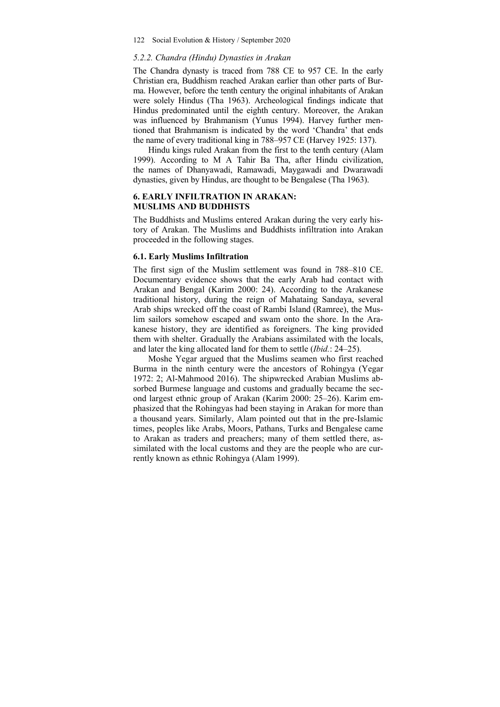#### *5.2.2. Chandra (Hindu) Dynasties in Arakan*

The Chandra dynasty is traced from 788 CE to 957 CE. In the early Christian era, Buddhism reached Arakan earlier than other parts of Burma. However, before the tenth century the original inhabitants of Arakan were solely Hindus (Tha 1963). Archeological findings indicate that Hindus predominated until the eighth century. Moreover, the Arakan was influenced by Brahmanism (Yunus 1994). Harvey further mentioned that Brahmanism is indicated by the word 'Chandra' that ends the name of every traditional king in 788–957 CE (Harvey 1925: 137).

Hindu kings ruled Arakan from the first to the tenth century (Alam 1999). According to M A Tahir Ba Tha, after Hindu civilization, the names of Dhanyawadi, Ramawadi, Maygawadi and Dwarawadi dynasties, given by Hindus, are thought to be Bengalese (Tha 1963).

## **6. EARLY INFILTRATION IN ARAKAN: MUSLIMS AND BUDDHISTS**

The Buddhists and Muslims entered Arakan during the very early history of Arakan. The Muslims and Buddhists infiltration into Arakan proceeded in the following stages.

#### **6.1. Early Muslims Infiltration**

The first sign of the Muslim settlement was found in 788–810 CE. Documentary evidence shows that the early Arab had contact with Arakan and Bengal (Karim 2000: 24). According to the Arakanese traditional history, during the reign of Mahataing Sandaya, several Arab ships wrecked off the coast of Rambi Island (Ramree), the Muslim sailors somehow escaped and swam onto the shore. In the Arakanese history, they are identified as foreigners. The king provided them with shelter. Gradually the Arabians assimilated with the locals, and later the king allocated land for them to settle (*Ibid.*: 24–25).

Moshe Yegar argued that the Muslims seamen who first reached Burma in the ninth century were the ancestors of Rohingya (Yegar 1972: 2; Al-Mahmood 2016). The shipwrecked Arabian Muslims absorbed Burmese language and customs and gradually became the second largest ethnic group of Arakan (Karim 2000: 25–26). Karim emphasized that the Rohingyas had been staying in Arakan for more than a thousand years. Similarly, Alam pointed out that in the pre-Islamic times, peoples like Arabs, Moors, Pathans, Turks and Bengalese came to Arakan as traders and preachers; many of them settled there, assimilated with the local customs and they are the people who are currently known as ethnic Rohingya (Alam 1999).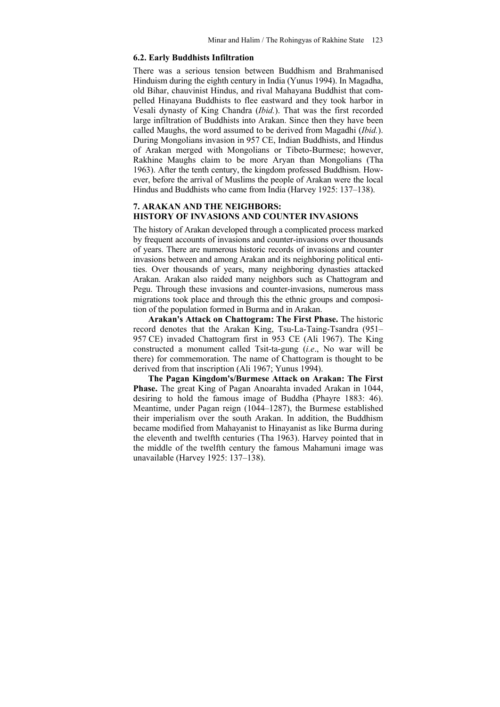#### **6.2. Early Buddhists Infiltration**

There was a serious tension between Buddhism and Brahmanised Hinduism during the eighth century in India (Yunus 1994). In Magadha, old Bihar, chauvinist Hindus, and rival Mahayana Buddhist that compelled Hinayana Buddhists to flee eastward and they took harbor in Vesali dynasty of King Chandra (*Ibid.*). That was the first recorded large infiltration of Buddhists into Arakan. Since then they have been called Maughs, the word assumed to be derived from Magadhi (*Ibid.*). During Mongolians invasion in 957 CE, Indian Buddhists, and Hindus of Arakan merged with Mongolians or Tibeto-Burmese; however, Rakhine Maughs claim to be more Aryan than Mongolians (Tha 1963). After the tenth century, the kingdom professed Buddhism. However, before the arrival of Muslims the people of Arakan were the local Hindus and Buddhists who came from India (Harvey 1925: 137–138).

## **7. ARAKAN AND THE NEIGHBORS: HISTORY OF INVASIONS AND COUNTER INVASIONS**

The history of Arakan developed through a complicated process marked by frequent accounts of invasions and counter-invasions over thousands of years. There are numerous historic records of invasions and counter invasions between and among Arakan and its neighboring political entities. Over thousands of years, many neighboring dynasties attacked Arakan. Arakan also raided many neighbors such as Chattogram and Pegu. Through these invasions and counter-invasions, numerous mass migrations took place and through this the ethnic groups and composition of the population formed in Burma and in Arakan.

**Arakan's Attack on Chattogram: The First Phase.** The historic record denotes that the Arakan King, Tsu-La-Taing-Tsandra (951– 957 CE) invaded Chattogram first in 953 CE (Ali 1967). The King constructed a monument called Tsit-ta-gung (*i.e*., No war will be there) for commemoration. The name of Chattogram is thought to be derived from that inscription (Ali 1967; Yunus 1994).

**The Pagan Kingdom's/Burmese Attack on Arakan: The First Phase.** The great King of Pagan Anoarahta invaded Arakan in 1044, desiring to hold the famous image of Buddha (Phayre 1883: 46). Meantime, under Pagan reign (1044–1287), the Burmese established their imperialism over the south Arakan. In addition, the Buddhism became modified from Mahayanist to Hinayanist as like Burma during the eleventh and twelfth centuries (Tha 1963). Harvey pointed that in the middle of the twelfth century the famous Mahamuni image was unavailable (Harvey 1925: 137–138).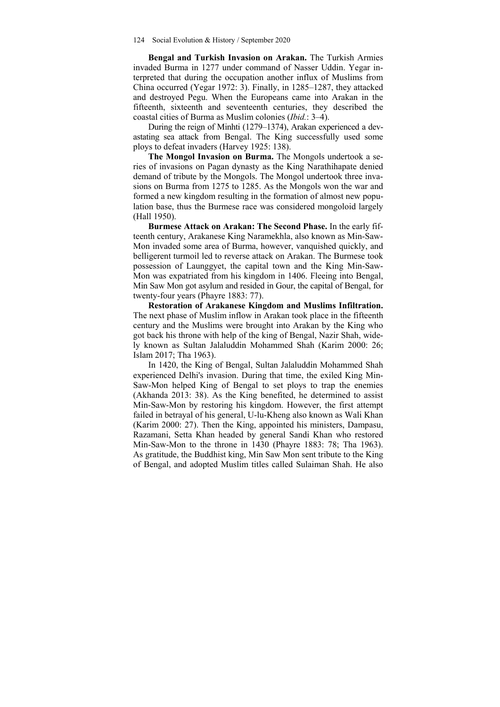**Bengal and Turkish Invasion on Arakan.** The Turkish Armies invaded Burma in 1277 under command of Nasser Uddin. Yegar interpreted that during the occupation another influx of Muslims from China occurred (Yegar 1972: 3). Finally, in 1285–1287, they attacked and destroyed Pegu. When the Europeans came into Arakan in the fifteenth, sixteenth and seventeenth centuries, they described the coastal cities of Burma as Muslim colonies (*Ibid.*: 3–4).

During the reign of Minhti (1279–1374), Arakan experienced a devastating sea attack from Bengal. The King successfully used some ploys to defeat invaders (Harvey 1925: 138).

**The Mongol Invasion on Burma.** The Mongols undertook a series of invasions on Pagan dynasty as the King Narathihapate denied demand of tribute by the Mongols. The Mongol undertook three invasions on Burma from 1275 to 1285. As the Mongols won the war and formed a new kingdom resulting in the formation of almost new population base, thus the Burmese race was considered mongoloid largely (Hall 1950).

**Burmese Attack on Arakan: The Second Phase.** In the early fifteenth century, Arakanese King Naramekhla, also known as Min-Saw-Mon invaded some area of Burma, however, vanquished quickly, and belligerent turmoil led to reverse attack on Arakan. The Burmese took possession of Launggyet, the capital town and the King Min-Saw-Mon was expatriated from his kingdom in 1406. Fleeing into Bengal, Min Saw Mon got asylum and resided in Gour, the capital of Bengal, for twenty-four years (Phayre 1883: 77).

**Restoration of Arakanese Kingdom and Muslims Infiltration.**  The next phase of Muslim inflow in Arakan took place in the fifteenth century and the Muslims were brought into Arakan by the King who got back his throne with help of the king of Bengal, Nazir Shah, widely known as Sultan Jalaluddin Mohammed Shah (Karim 2000: 26; Islam 2017; Tha 1963).

In 1420, the King of Bengal, Sultan Jalaluddin Mohammed Shah experienced Delhi's invasion. During that time, the exiled King Min-Saw-Mon helped King of Bengal to set ploys to trap the enemies (Akhanda 2013: 38). As the King benefited, he determined to assist Min-Saw-Mon by restoring his kingdom. However, the first attempt failed in betrayal of his general, U-lu-Kheng also known as Wali Khan (Karim 2000: 27). Then the King, appointed his ministers, Dampasu, Razamani, Setta Khan headed by general Sandi Khan who restored Min-Saw-Mon to the throne in 1430 (Phayre 1883: 78; Tha 1963). As gratitude, the Buddhist king, Min Saw Mon sent tribute to the King of Bengal, and adopted Muslim titles called Sulaiman Shah. He also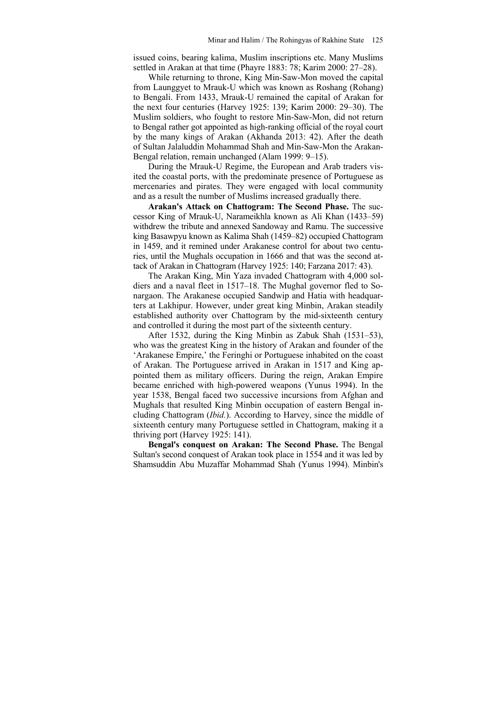issued coins, bearing kalima, Muslim inscriptions etc. Many Muslims settled in Arakan at that time (Phayre 1883: 78; Karim 2000: 27–28).

While returning to throne, King Min-Saw-Mon moved the capital from Launggyet to Mrauk-U which was known as Roshang (Rohang) to Bengali. From 1433, Mrauk-U remained the capital of Arakan for the next four centuries (Harvey 1925: 139; Karim 2000: 29–30). The Muslim soldiers, who fought to restore Min-Saw-Mon, did not return to Bengal rather got appointed as high-ranking official of the royal court by the many kings of Arakan (Akhanda 2013: 42). After the death of Sultan Jalaluddin Mohammad Shah and Min-Saw-Mon the Arakan-Bengal relation, remain unchanged (Alam 1999: 9–15).

During the Mrauk-U Regime, the European and Arab traders visited the coastal ports, with the predominate presence of Portuguese as mercenaries and pirates. They were engaged with local community and as a result the number of Muslims increased gradually there.

**Arakan's Attack on Chattogram: The Second Phase.** The successor King of Mrauk-U, Narameikhla known as Ali Khan (1433–59) withdrew the tribute and annexed Sandoway and Ramu. The successive king Basawpyu known as Kalima Shah (1459–82) occupied Chattogram in 1459, and it remined under Arakanese control for about two centuries, until the Mughals occupation in 1666 and that was the second attack of Arakan in Chattogram (Harvey 1925: 140; Farzana 2017: 43).

The Arakan King, Min Yaza invaded Chattogram with 4,000 soldiers and a naval fleet in 1517–18. The Mughal governor fled to Sonargaon. The Arakanese occupied Sandwip and Hatia with headquarters at Lakhipur. However, under great king Minbin, Arakan steadily established authority over Chattogram by the mid-sixteenth century and controlled it during the most part of the sixteenth century.

After 1532, during the King Minbin as Zabuk Shah (1531–53), who was the greatest King in the history of Arakan and founder of the 'Arakanese Empire,' the Feringhi or Portuguese inhabited on the coast of Arakan. The Portuguese arrived in Arakan in 1517 and King appointed them as military officers. During the reign, Arakan Empire became enriched with high-powered weapons (Yunus 1994). In the year 1538, Bengal faced two successive incursions from Afghan and Mughals that resulted King Minbin occupation of eastern Bengal including Chattogram (*Ibid.*). According to Harvey, since the middle of sixteenth century many Portuguese settled in Chattogram, making it a thriving port (Harvey 1925: 141).

**Bengal's conquest on Arakan: The Second Phase.** The Bengal Sultan's second conquest of Arakan took place in 1554 and it was led by Shamsuddin Abu Muzaffar Mohammad Shah (Yunus 1994). Minbin's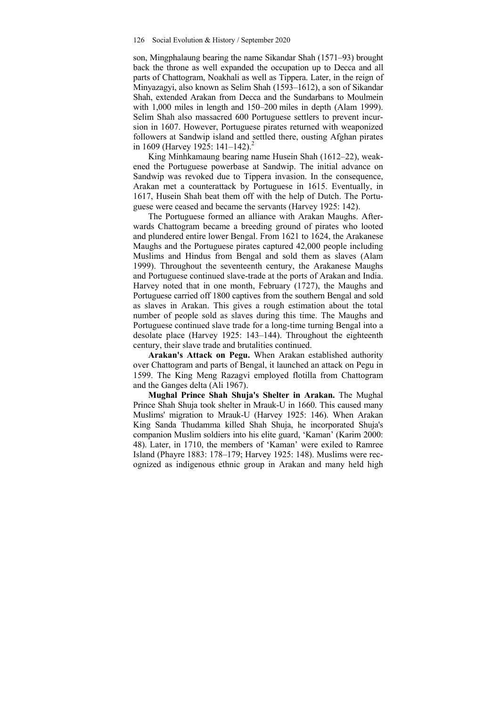son, Mingphalaung bearing the name Sikandar Shah (1571–93) brought back the throne as well expanded the occupation up to Decca and all parts of Chattogram, Noakhali as well as Tippera. Later, in the reign of Minyazagyi, also known as Selim Shah (1593–1612), a son of Sikandar Shah, extended Arakan from Decca and the Sundarbans to Moulmein with 1,000 miles in length and 150–200 miles in depth (Alam 1999). Selim Shah also massacred 600 Portuguese settlers to prevent incursion in 1607. However, Portuguese pirates returned with weaponized followers at Sandwip island and settled there, ousting Afghan pirates in 1609 (Harvey 1925:  $141-142$ ).

King Minhkamaung bearing name Husein Shah (1612–22), weakened the Portuguese powerbase at Sandwip. The initial advance on Sandwip was revoked due to Tippera invasion. In the consequence, Arakan met a counterattack by Portuguese in 1615. Eventually, in 1617, Husein Shah beat them off with the help of Dutch. The Portuguese were ceased and became the servants (Harvey 1925: 142).

The Portuguese formed an alliance with Arakan Maughs. Afterwards Chattogram became a breeding ground of pirates who looted and plundered entire lower Bengal. From 1621 to 1624, the Arakanese Maughs and the Portuguese pirates captured 42,000 people including Muslims and Hindus from Bengal and sold them as slaves (Alam 1999). Throughout the seventeenth century, the Arakanese Maughs and Portuguese continued slave-trade at the ports of Arakan and India. Harvey noted that in one month, February (1727), the Maughs and Portuguese carried off 1800 captives from the southern Bengal and sold as slaves in Arakan. This gives a rough estimation about the total number of people sold as slaves during this time. The Maughs and Portuguese continued slave trade for a long-time turning Bengal into a desolate place (Harvey 1925: 143–144). Throughout the eighteenth century, their slave trade and brutalities continued.

**Arakan's Attack on Pegu.** When Arakan established authority over Chattogram and parts of Bengal, it launched an attack on Pegu in 1599. The King Meng Razagvi employed flotilla from Chattogram and the Ganges delta (Ali 1967).

**Mughal Prince Shah Shuja's Shelter in Arakan.** The Mughal Prince Shah Shuja took shelter in Mrauk-U in 1660. This caused many Muslims' migration to Mrauk-U (Harvey 1925: 146). When Arakan King Sanda Thudamma killed Shah Shuja, he incorporated Shuja's companion Muslim soldiers into his elite guard, 'Kaman' (Karim 2000: 48). Later, in 1710, the members of 'Kaman' were exiled to Ramree Island (Phayre 1883: 178–179; Harvey 1925: 148). Muslims were recognized as indigenous ethnic group in Arakan and many held high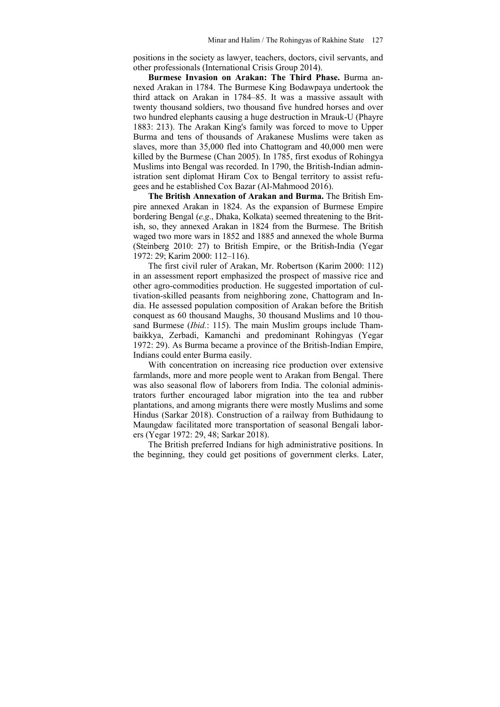positions in the society as lawyer, teachers, doctors, civil servants, and other professionals (International Crisis Group 2014).

**Burmese Invasion on Arakan: The Third Phase.** Burma annexed Arakan in 1784. The Burmese King Bodawpaya undertook the third attack on Arakan in 1784–85. It was a massive assault with twenty thousand soldiers, two thousand five hundred horses and over two hundred elephants causing a huge destruction in Mrauk-U (Phayre 1883: 213). The Arakan King's family was forced to move to Upper Burma and tens of thousands of Arakanese Muslims were taken as slaves, more than 35,000 fled into Chattogram and 40,000 men were killed by the Burmese (Chan 2005). In 1785, first exodus of Rohingya Muslims into Bengal was recorded. In 1790, the British-Indian administration sent diplomat Hiram Cox to Bengal territory to assist refugees and he established Cox Bazar (Al-Mahmood 2016).

**The British Annexation of Arakan and Burma.** The British Empire annexed Arakan in 1824. As the expansion of Burmese Empire bordering Bengal (*e.g*., Dhaka, Kolkata) seemed threatening to the British, so, they annexed Arakan in 1824 from the Burmese. The British waged two more wars in 1852 and 1885 and annexed the whole Burma (Steinberg 2010: 27) to British Empire, or the British-India (Yegar 1972: 29; Karim 2000: 112–116).

The first civil ruler of Arakan, Mr. Robertson (Karim 2000: 112) in an assessment report emphasized the prospect of massive rice and other agro-commodities production. He suggested importation of cultivation-skilled peasants from neighboring zone, Chattogram and India. He assessed population composition of Arakan before the British conquest as 60 thousand Maughs, 30 thousand Muslims and 10 thousand Burmese (*Ibid.*: 115). The main Muslim groups include Thambaikkya, Zerbadi, Kamanchi and predominant Rohingyas (Yegar 1972: 29). As Burma became a province of the British-Indian Empire, Indians could enter Burma easily.

With concentration on increasing rice production over extensive farmlands, more and more people went to Arakan from Bengal. There was also seasonal flow of laborers from India. The colonial administrators further encouraged labor migration into the tea and rubber plantations, and among migrants there were mostly Muslims and some Hindus (Sarkar 2018). Construction of a railway from Buthidaung to Maungdaw facilitated more transportation of seasonal Bengali laborers (Yegar 1972: 29, 48; Sarkar 2018).

The British preferred Indians for high administrative positions. In the beginning, they could get positions of government clerks. Later,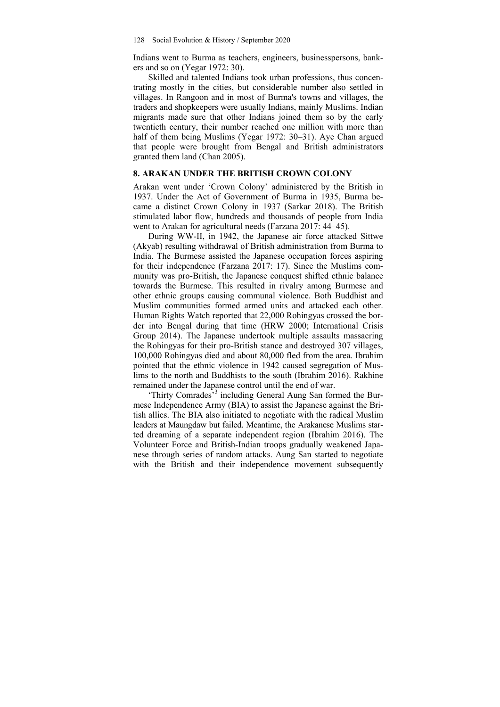Indians went to Burma as teachers, engineers, businesspersons, bankers and so on (Yegar 1972: 30).

Skilled and talented Indians took urban professions, thus concentrating mostly in the cities, but considerable number also settled in villages. In Rangoon and in most of Burma's towns and villages, the traders and shopkeepers were usually Indians, mainly Muslims. Indian migrants made sure that other Indians joined them so by the early twentieth century, their number reached one million with more than half of them being Muslims (Yegar 1972: 30–31). Aye Chan argued that people were brought from Bengal and British administrators granted them land (Chan 2005).

## **8. ARAKAN UNDER THE BRITISH CROWN COLONY**

Arakan went under 'Crown Colony' administered by the British in 1937. Under the Act of Government of Burma in 1935, Burma became a distinct Crown Colony in 1937 (Sarkar 2018). The British stimulated labor flow, hundreds and thousands of people from India went to Arakan for agricultural needs (Farzana 2017: 44–45).

During WW-II, in 1942, the Japanese air force attacked Sittwe (Akyab) resulting withdrawal of British administration from Burma to India. The Burmese assisted the Japanese occupation forces aspiring for their independence (Farzana 2017: 17). Since the Muslims community was pro-British, the Japanese conquest shifted ethnic balance towards the Burmese. This resulted in rivalry among Burmese and other ethnic groups causing communal violence. Both Buddhist and Muslim communities formed armed units and attacked each other. Human Rights Watch reported that 22,000 Rohingyas crossed the border into Bengal during that time (HRW 2000; International Crisis Group 2014). The Japanese undertook multiple assaults massacring the Rohingyas for their pro-British stance and destroyed 307 villages, 100,000 Rohingyas died and about 80,000 fled from the area. Ibrahim pointed that the ethnic violence in 1942 caused segregation of Muslims to the north and Buddhists to the south (Ibrahim 2016). Rakhine remained under the Japanese control until the end of war.

'Thirty Comrades<sup>33</sup> including General Aung San formed the Burmese Independence Army (BIA) to assist the Japanese against the British allies. The BIA also initiated to negotiate with the radical Muslim leaders at Maungdaw but failed. Meantime, the Arakanese Muslims started dreaming of a separate independent region (Ibrahim 2016). The Volunteer Force and British-Indian troops gradually weakened Japanese through series of random attacks. Aung San started to negotiate with the British and their independence movement subsequently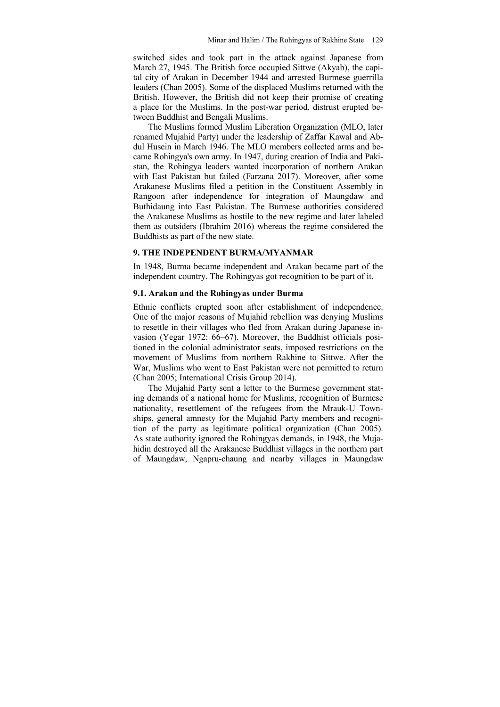switched sides and took part in the attack against Japanese from March 27, 1945. The British force occupied Sittwe (Akyab), the capital city of Arakan in December 1944 and arrested Burmese guerrilla leaders (Chan 2005). Some of the displaced Muslims returned with the British. However, the British did not keep their promise of creating a place for the Muslims. In the post-war period, distrust erupted between Buddhist and Bengali Muslims.

The Muslims formed Muslim Liberation Organization (MLO, later renamed Mujahid Party) under the leadership of Zaffar Kawal and Abdul Husein in March 1946. The MLO members collected arms and became Rohingya's own army. In 1947, during creation of India and Pakistan, the Rohingya leaders wanted incorporation of northern Arakan with East Pakistan but failed (Farzana 2017). Moreover, after some Arakanese Muslims filed a petition in the Constituent Assembly in Rangoon after independence for integration of Maungdaw and Buthidaung into East Pakistan. The Burmese authorities considered the Arakanese Muslims as hostile to the new regime and later labeled them as outsiders (Ibrahim 2016) whereas the regime considered the Buddhists as part of the new state.

## **9. THE INDEPENDENT BURMA/MYANMAR**

In 1948, Burma became independent and Arakan became part of the independent country. The Rohingyas got recognition to be part of it.

## **9.1. Arakan and the Rohingyas under Burma**

Ethnic conflicts erupted soon after establishment of independence. One of the major reasons of Mujahid rebellion was denying Muslims to resettle in their villages who fled from Arakan during Japanese invasion (Yegar 1972: 66–67). Moreover, the Buddhist officials positioned in the colonial administrator seats, imposed restrictions on the movement of Muslims from northern Rakhine to Sittwe. After the War, Muslims who went to East Pakistan were not permitted to return (Chan 2005; International Crisis Group 2014).

The Mujahid Party sent a letter to the Burmese government stating demands of a national home for Muslims, recognition of Burmese nationality, resettlement of the refugees from the Mrauk-U Townships, general amnesty for the Mujahid Party members and recognition of the party as legitimate political organization (Chan 2005). As state authority ignored the Rohingyas demands, in 1948, the Mujahidin destroyed all the Arakanese Buddhist villages in the northern part of Maungdaw, Ngapru-chaung and nearby villages in Maungdaw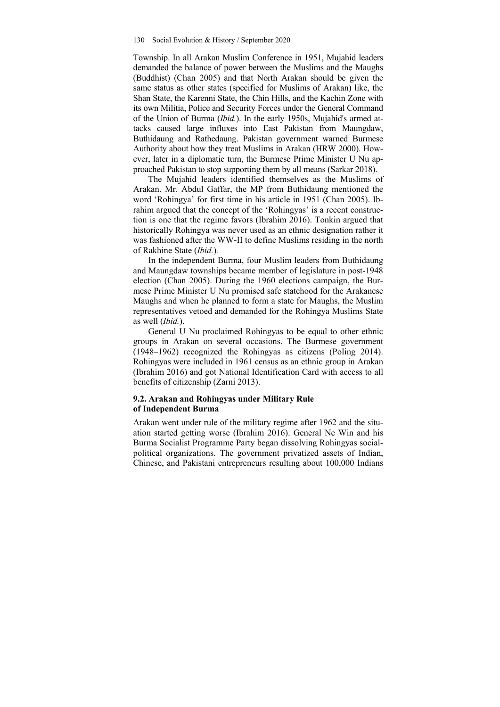Township. In all Arakan Muslim Conference in 1951, Mujahid leaders demanded the balance of power between the Muslims and the Maughs (Buddhist) (Chan 2005) and that North Arakan should be given the same status as other states (specified for Muslims of Arakan) like, the Shan State, the Karenni State, the Chin Hills, and the Kachin Zone with its own Militia, Police and Security Forces under the General Command of the Union of Burma (*Ibid.*). In the early 1950s, Mujahid's armed attacks caused large influxes into East Pakistan from Maungdaw, Buthidaung and Rathedaung. Pakistan government warned Burmese Authority about how they treat Muslims in Arakan (HRW 2000). However, later in a diplomatic turn, the Burmese Prime Minister U Nu approached Pakistan to stop supporting them by all means (Sarkar 2018).

The Mujahid leaders identified themselves as the Muslims of Arakan. Mr. Abdul Gaffar, the MP from Buthidaung mentioned the word 'Rohingya' for first time in his article in 1951 (Chan 2005). Ibrahim argued that the concept of the 'Rohingyas' is a recent construction is one that the regime favors (Ibrahim 2016). Tonkin argued that historically Rohingya was never used as an ethnic designation rather it was fashioned after the WW-II to define Muslims residing in the north of Rakhine State (*Ibid.*)*.* 

In the independent Burma, four Muslim leaders from Buthidaung and Maungdaw townships became member of legislature in post-1948 election (Chan 2005). During the 1960 elections campaign, the Burmese Prime Minister U Nu promised safe statehood for the Arakanese Maughs and when he planned to form a state for Maughs, the Muslim representatives vetoed and demanded for the Rohingya Muslims State as well (*Ibid.*).

General U Nu proclaimed Rohingyas to be equal to other ethnic groups in Arakan on several occasions. The Burmese government (1948–1962) recognized the Rohingyas as citizens (Poling 2014). Rohingyas were included in 1961 census as an ethnic group in Arakan (Ibrahim 2016) and got National Identification Card with access to all benefits of citizenship (Zarni 2013).

## **9.2. Arakan and Rohingyas under Military Rule of Independent Burma**

Arakan went under rule of the military regime after 1962 and the situation started getting worse (Ibrahim 2016). General Ne Win and his Burma Socialist Programme Party began dissolving Rohingyas socialpolitical organizations. The government privatized assets of Indian, Chinese, and Pakistani entrepreneurs resulting about 100,000 Indians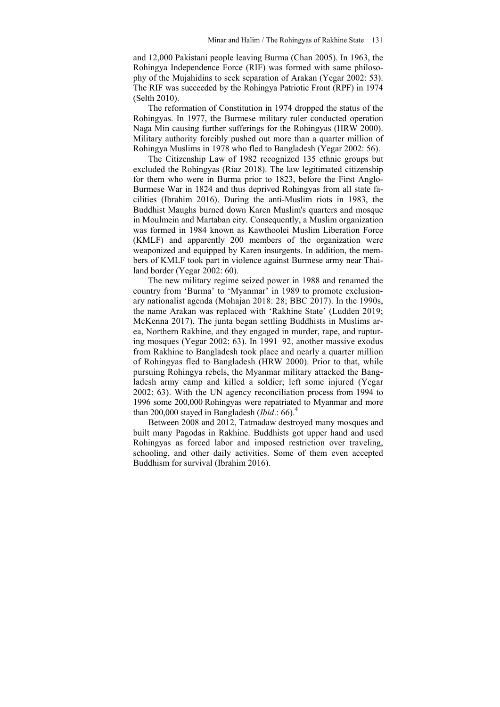and 12,000 Pakistani people leaving Burma (Chan 2005). In 1963, the Rohingya Independence Force (RIF) was formed with same philosophy of the Mujahidins to seek separation of Arakan (Yegar 2002: 53). The RIF was succeeded by the Rohingya Patriotic Front (RPF) in 1974 (Selth 2010).

The reformation of Constitution in 1974 dropped the status of the Rohingyas. In 1977, the Burmese military ruler conducted operation Naga Min causing further sufferings for the Rohingyas (HRW 2000). Military authority forcibly pushed out more than a quarter million of Rohingya Muslims in 1978 who fled to Bangladesh (Yegar 2002: 56).

The Citizenship Law of 1982 recognized 135 ethnic groups but excluded the Rohingyas (Riaz 2018). The law legitimated citizenship for them who were in Burma prior to 1823, before the First Anglo-Burmese War in 1824 and thus deprived Rohingyas from all state facilities (Ibrahim 2016). During the anti-Muslim riots in 1983, the Buddhist Maughs burned down Karen Muslim's quarters and mosque in Moulmein and Martaban city. Consequently, a Muslim organization was formed in 1984 known as Kawthoolei Muslim Liberation Force (KMLF) and apparently 200 members of the organization were weaponized and equipped by Karen insurgents. In addition, the members of KMLF took part in violence against Burmese army near Thailand border (Yegar 2002: 60).

The new military regime seized power in 1988 and renamed the country from 'Burma' to 'Myanmar' in 1989 to promote exclusionary nationalist agenda (Mohajan 2018: 28; BBC 2017). In the 1990s, the name Arakan was replaced with 'Rakhine State' (Ludden 2019; McKenna 2017). The junta began settling Buddhists in Muslims area, Northern Rakhine, and they engaged in murder, rape, and rupturing mosques (Yegar 2002: 63). In 1991–92, another massive exodus from Rakhine to Bangladesh took place and nearly a quarter million of Rohingyas fled to Bangladesh (HRW 2000). Prior to that, while pursuing Rohingya rebels, the Myanmar military attacked the Bangladesh army camp and killed a soldier; left some injured (Yegar 2002: 63). With the UN agency reconciliation process from 1994 to 1996 some 200,000 Rohingyas were repatriated to Myanmar and more than 200,000 stayed in Bangladesh (*Ibid*.: 66).<sup>4</sup>

Between 2008 and 2012, Tatmadaw destroyed many mosques and built many Pagodas in Rakhine. Buddhists got upper hand and used Rohingyas as forced labor and imposed restriction over traveling, schooling, and other daily activities. Some of them even accepted Buddhism for survival (Ibrahim 2016).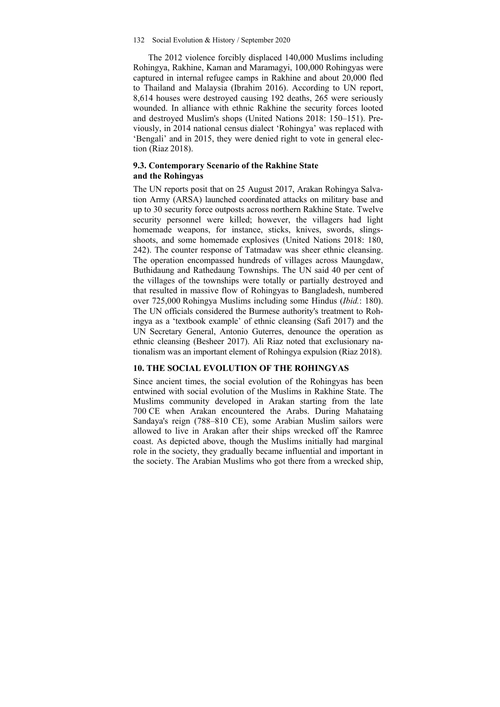The 2012 violence forcibly displaced 140,000 Muslims including Rohingya, Rakhine, Kaman and Maramagyi, 100,000 Rohingyas were captured in internal refugee camps in Rakhine and about 20,000 fled to Thailand and Malaysia (Ibrahim 2016). According to UN report, 8,614 houses were destroyed causing 192 deaths, 265 were seriously wounded. In alliance with ethnic Rakhine the security forces looted and destroyed Muslim's shops (United Nations 2018: 150–151). Previously, in 2014 national census dialect 'Rohingya' was replaced with 'Bengali' and in 2015, they were denied right to vote in general election (Riaz 2018).

## **9.3. Contemporary Scenario of the Rakhine State and the Rohingyas**

The UN reports posit that on 25 August 2017, Arakan Rohingya Salvation Army (ARSA) launched coordinated attacks on military base and up to 30 security force outposts across northern Rakhine State. Twelve security personnel were killed; however, the villagers had light homemade weapons, for instance, sticks, knives, swords, slingsshoots, and some homemade explosives (United Nations 2018: 180, 242). The counter response of Tatmadaw was sheer ethnic cleansing. The operation encompassed hundreds of villages across Maungdaw, Buthidaung and Rathedaung Townships. The UN said 40 per cent of the villages of the townships were totally or partially destroyed and that resulted in massive flow of Rohingyas to Bangladesh, numbered over 725,000 Rohingya Muslims including some Hindus (*Ibid.*: 180). The UN officials considered the Burmese authority's treatment to Rohingya as a 'textbook example' of ethnic cleansing (Safi 2017) and the UN Secretary General, Antonio Guterres, denounce the operation as ethnic cleansing (Besheer 2017). Ali Riaz noted that exclusionary nationalism was an important element of Rohingya expulsion (Riaz 2018).

## **10. THE SOCIAL EVOLUTION OF THE ROHINGYAS**

Since ancient times, the social evolution of the Rohingyas has been entwined with social evolution of the Muslims in Rakhine State. The Muslims community developed in Arakan starting from the late 700 CE when Arakan encountered the Arabs. During Mahataing Sandaya's reign (788–810 CE), some Arabian Muslim sailors were allowed to live in Arakan after their ships wrecked off the Ramree coast. As depicted above, though the Muslims initially had marginal role in the society, they gradually became influential and important in the society. The Arabian Muslims who got there from a wrecked ship,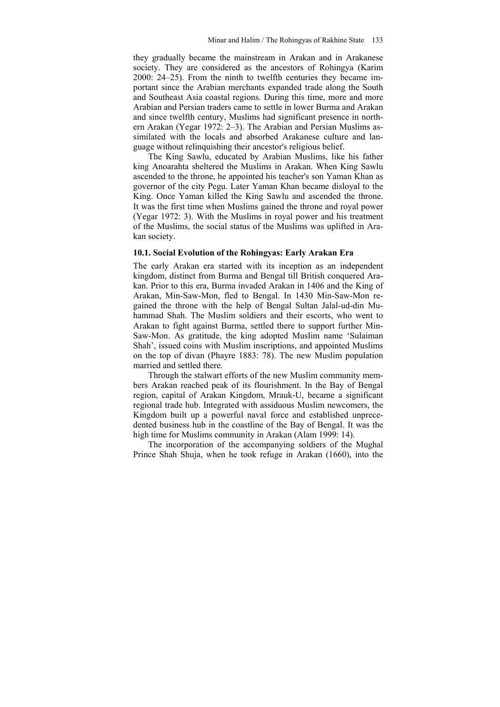they gradually became the mainstream in Arakan and in Arakanese society. They are considered as the ancestors of Rohingya (Karim 2000: 24–25). From the ninth to twelfth centuries they became important since the Arabian merchants expanded trade along the South and Southeast Asia coastal regions. During this time, more and more Arabian and Persian traders came to settle in lower Burma and Arakan and since twelfth century, Muslims had significant presence in northern Arakan (Yegar 1972: 2–3). The Arabian and Persian Muslims assimilated with the locals and absorbed Arakanese culture and language without relinquishing their ancestor's religious belief.

The King Sawlu, educated by Arabian Muslims, like his father king Anoarahta sheltered the Muslims in Arakan. When King Sawlu ascended to the throne, he appointed his teacher's son Yaman Khan as governor of the city Pegu. Later Yaman Khan became disloyal to the King. Once Yaman killed the King Sawlu and ascended the throne. It was the first time when Muslims gained the throne and royal power (Yegar 1972: 3). With the Muslims in royal power and his treatment of the Muslims, the social status of the Muslims was uplifted in Arakan society.

### **10.1. Social Evolution of the Rohingyas: Early Arakan Era**

The early Arakan era started with its inception as an independent kingdom, distinct from Burma and Bengal till British conquered Arakan. Prior to this era, Burma invaded Arakan in 1406 and the King of Arakan, Min-Saw-Mon, fled to Bengal. In 1430 Min-Saw-Mon regained the throne with the help of Bengal Sultan Jalal-ud-din Muhammad Shah. The Muslim soldiers and their escorts, who went to Arakan to fight against Burma, settled there to support further Min-Saw-Mon. As gratitude, the king adopted Muslim name 'Sulaiman Shah', issued coins with Muslim inscriptions, and appointed Muslims on the top of divan (Phayre 1883: 78). The new Muslim population married and settled there.

Through the stalwart efforts of the new Muslim community members Arakan reached peak of its flourishment. In the Bay of Bengal region, capital of Arakan Kingdom, Mrauk-U, became a significant regional trade hub. Integrated with assiduous Muslim newcomers, the Kingdom built up a powerful naval force and established unprecedented business hub in the coastline of the Bay of Bengal. It was the high time for Muslims community in Arakan (Alam 1999: 14).

The incorporation of the accompanying soldiers of the Mughal Prince Shah Shuja, when he took refuge in Arakan (1660), into the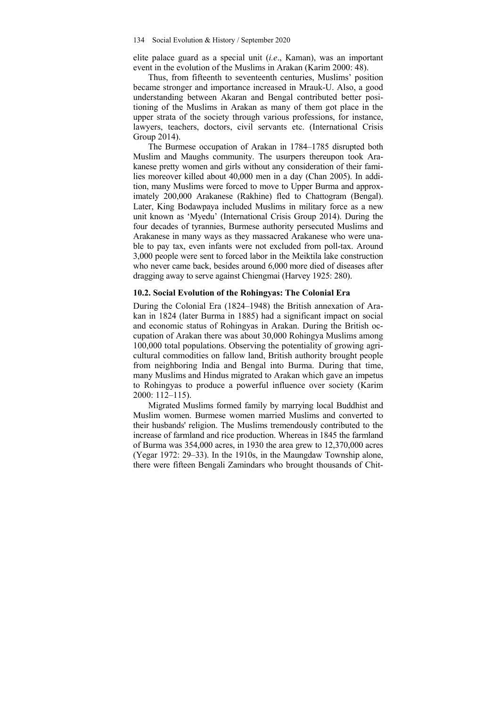elite palace guard as a special unit (*i.e*., Kaman), was an important event in the evolution of the Muslims in Arakan (Karim 2000: 48).

Thus, from fifteenth to seventeenth centuries, Muslims' position became stronger and importance increased in Mrauk-U. Also, a good understanding between Akaran and Bengal contributed better positioning of the Muslims in Arakan as many of them got place in the upper strata of the society through various professions, for instance, lawyers, teachers, doctors, civil servants etc. (International Crisis Group 2014).

The Burmese occupation of Arakan in 1784–1785 disrupted both Muslim and Maughs community. The usurpers thereupon took Arakanese pretty women and girls without any consideration of their families moreover killed about 40,000 men in a day (Chan 2005). In addition, many Muslims were forced to move to Upper Burma and approximately 200,000 Arakanese (Rakhine) fled to Chattogram (Bengal). Later, King Bodawpaya included Muslims in military force as a new unit known as 'Myedu' (International Crisis Group 2014). During the four decades of tyrannies, Burmese authority persecuted Muslims and Arakanese in many ways as they massacred Arakanese who were unable to pay tax, even infants were not excluded from poll-tax. Around 3,000 people were sent to forced labor in the Meiktila lake construction who never came back, besides around 6,000 more died of diseases after dragging away to serve against Chiengmai (Harvey 1925: 280).

## **10.2. Social Evolution of the Rohingyas: The Colonial Era**

During the Colonial Era (1824–1948) the British annexation of Arakan in 1824 (later Burma in 1885) had a significant impact on social and economic status of Rohingyas in Arakan. During the British occupation of Arakan there was about 30,000 Rohingya Muslims among 100,000 total populations. Observing the potentiality of growing agricultural commodities on fallow land, British authority brought people from neighboring India and Bengal into Burma. During that time, many Muslims and Hindus migrated to Arakan which gave an impetus to Rohingyas to produce a powerful influence over society (Karim 2000: 112–115).

Migrated Muslims formed family by marrying local Buddhist and Muslim women. Burmese women married Muslims and converted to their husbands' religion. The Muslims tremendously contributed to the increase of farmland and rice production. Whereas in 1845 the farmland of Burma was 354,000 acres, in 1930 the area grew to 12,370,000 acres (Yegar 1972: 29–33). In the 1910s, in the Maungdaw Township alone, there were fifteen Bengali Zamindars who brought thousands of Chit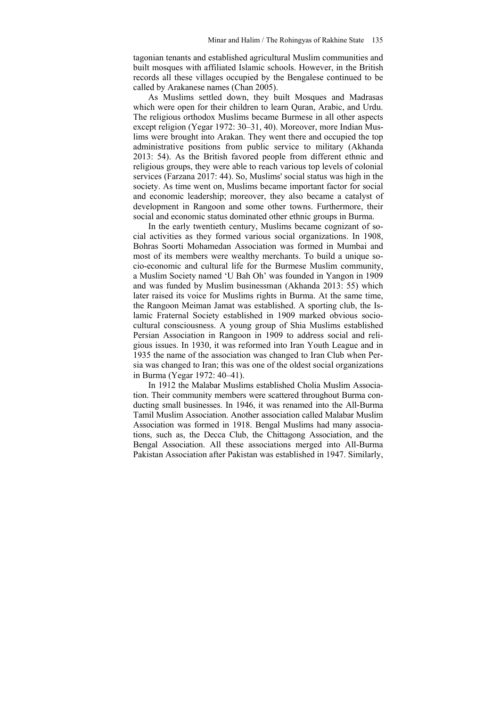tagonian tenants and established agricultural Muslim communities and built mosques with affiliated Islamic schools. However, in the British records all these villages occupied by the Bengalese continued to be called by Arakanese names (Chan 2005).

As Muslims settled down, they built Mosques and Madrasas which were open for their children to learn Quran, Arabic, and Urdu. The religious orthodox Muslims became Burmese in all other aspects except religion (Yegar 1972: 30–31, 40). Moreover, more Indian Muslims were brought into Arakan. They went there and occupied the top administrative positions from public service to military (Akhanda 2013: 54). As the British favored people from different ethnic and religious groups, they were able to reach various top levels of colonial services (Farzana 2017: 44). So, Muslims' social status was high in the society. As time went on, Muslims became important factor for social and economic leadership; moreover, they also became a catalyst of development in Rangoon and some other towns. Furthermore, their social and economic status dominated other ethnic groups in Burma.

In the early twentieth century, Muslims became cognizant of social activities as they formed various social organizations. In 1908, Bohras Soorti Mohamedan Association was formed in Mumbai and most of its members were wealthy merchants. To build a unique socio-economic and cultural life for the Burmese Muslim community, a Muslim Society named 'U Bah Oh' was founded in Yangon in 1909 and was funded by Muslim businessman (Akhanda 2013: 55) which later raised its voice for Muslims rights in Burma. At the same time, the Rangoon Meiman Jamat was established. A sporting club, the Islamic Fraternal Society established in 1909 marked obvious sociocultural consciousness. A young group of Shia Muslims established Persian Association in Rangoon in 1909 to address social and religious issues. In 1930, it was reformed into Iran Youth League and in 1935 the name of the association was changed to Iran Club when Persia was changed to Iran; this was one of the oldest social organizations in Burma (Yegar 1972: 40–41).

In 1912 the Malabar Muslims established Cholia Muslim Association. Their community members were scattered throughout Burma conducting small businesses. In 1946, it was renamed into the All-Burma Tamil Muslim Association. Another association called Malabar Muslim Association was formed in 1918. Bengal Muslims had many associations, such as, the Decca Club, the Chittagong Association, and the Bengal Association. All these associations merged into All-Burma Pakistan Association after Pakistan was established in 1947. Similarly,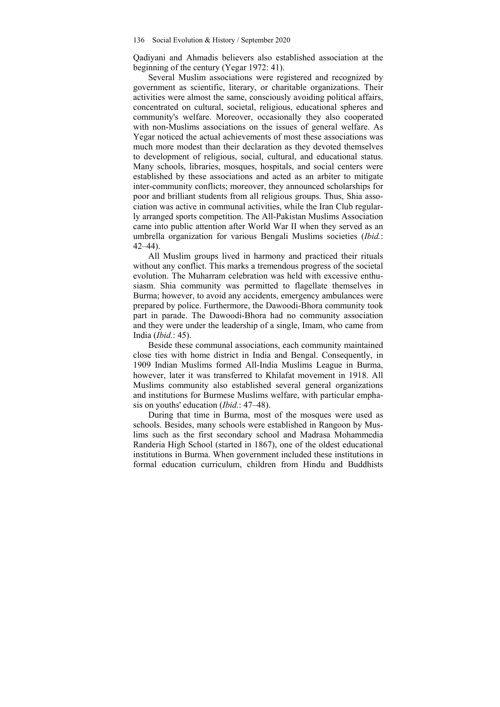Qadiyani and Ahmadis believers also established association at the beginning of the century (Yegar 1972: 41).

Several Muslim associations were registered and recognized by government as scientific, literary, or charitable organizations. Their activities were almost the same, consciously avoiding political affairs, concentrated on cultural, societal, religious, educational spheres and community's welfare. Moreover, occasionally they also cooperated with non-Muslims associations on the issues of general welfare. As Yegar noticed the actual achievements of most these associations was much more modest than their declaration as they devoted themselves to development of religious, social, cultural, and educational status. Many schools, libraries, mosques, hospitals, and social centers were established by these associations and acted as an arbiter to mitigate inter-community conflicts; moreover, they announced scholarships for poor and brilliant students from all religious groups. Thus, Shia association was active in communal activities, while the Iran Club regularly arranged sports competition. The All-Pakistan Muslims Association came into public attention after World War II when they served as an umbrella organization for various Bengali Muslims societies (*Ibid.*: 42–44).

All Muslim groups lived in harmony and practiced their rituals without any conflict. This marks a tremendous progress of the societal evolution. The Muharram celebration was held with excessive enthusiasm. Shia community was permitted to flagellate themselves in Burma; however, to avoid any accidents, emergency ambulances were prepared by police. Furthermore, the Dawoodi-Bhora community took part in parade. The Dawoodi-Bhora had no community association and they were under the leadership of a single, Imam, who came from India (*Ibid.*: 45).

Beside these communal associations, each community maintained close ties with home district in India and Bengal. Consequently, in 1909 Indian Muslims formed All-India Muslims League in Burma, however, later it was transferred to Khilafat movement in 1918. All Muslims community also established several general organizations and institutions for Burmese Muslims welfare, with particular emphasis on youths' education (*Ibid.*: 47–48).

During that time in Burma, most of the mosques were used as schools. Besides, many schools were established in Rangoon by Muslims such as the first secondary school and Madrasa Mohammedia Randeria High School (started in 1867), one of the oldest educational institutions in Burma. When government included these institutions in formal education curriculum, children from Hindu and Buddhists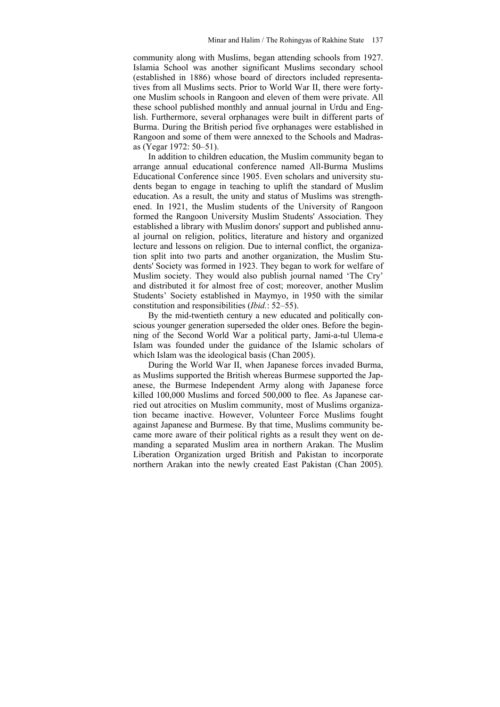community along with Muslims, began attending schools from 1927. Islamia School was another significant Muslims secondary school (established in 1886) whose board of directors included representatives from all Muslims sects. Prior to World War II, there were fortyone Muslim schools in Rangoon and eleven of them were private. All these school published monthly and annual journal in Urdu and English. Furthermore, several orphanages were built in different parts of Burma. During the British period five orphanages were established in Rangoon and some of them were annexed to the Schools and Madrasas (Yegar 1972: 50–51).

In addition to children education, the Muslim community began to arrange annual educational conference named All-Burma Muslims Educational Conference since 1905. Even scholars and university students began to engage in teaching to uplift the standard of Muslim education. As a result, the unity and status of Muslims was strengthened. In 1921, the Muslim students of the University of Rangoon formed the Rangoon University Muslim Students' Association. They established a library with Muslim donors' support and published annual journal on religion, politics, literature and history and organized lecture and lessons on religion. Due to internal conflict, the organization split into two parts and another organization, the Muslim Students' Society was formed in 1923. They began to work for welfare of Muslim society. They would also publish journal named 'The Cry' and distributed it for almost free of cost; moreover, another Muslim Students' Society established in Maymyo, in 1950 with the similar constitution and responsibilities (*Ibid.*: 52–55).

By the mid-twentieth century a new educated and politically conscious younger generation superseded the older ones. Before the beginning of the Second World War a political party, Jami-a-tul Ulema-e Islam was founded under the guidance of the Islamic scholars of which Islam was the ideological basis (Chan 2005).

During the World War II, when Japanese forces invaded Burma, as Muslims supported the British whereas Burmese supported the Japanese, the Burmese Independent Army along with Japanese force killed 100,000 Muslims and forced 500,000 to flee. As Japanese carried out atrocities on Muslim community, most of Muslims organization became inactive. However, Volunteer Force Muslims fought against Japanese and Burmese. By that time, Muslims community became more aware of their political rights as a result they went on demanding a separated Muslim area in northern Arakan. The Muslim Liberation Organization urged British and Pakistan to incorporate northern Arakan into the newly created East Pakistan (Chan 2005).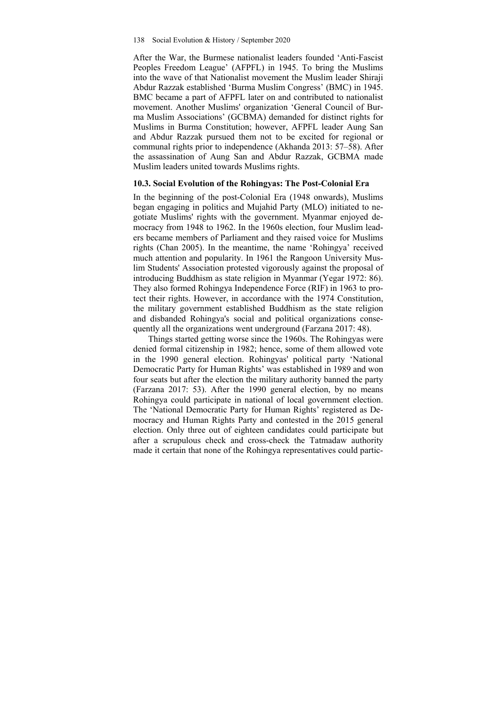After the War, the Burmese nationalist leaders founded 'Anti-Fascist Peoples Freedom League' (AFPFL) in 1945. To bring the Muslims into the wave of that Nationalist movement the Muslim leader Shiraji Abdur Razzak established 'Burma Muslim Congress' (BMC) in 1945. BMC became a part of AFPFL later on and contributed to nationalist movement. Another Muslims' organization 'General Council of Burma Muslim Associations' (GCBMA) demanded for distinct rights for Muslims in Burma Constitution; however, AFPFL leader Aung San and Abdur Razzak pursued them not to be excited for regional or communal rights prior to independence (Akhanda 2013: 57–58). After the assassination of Aung San and Abdur Razzak, GCBMA made Muslim leaders united towards Muslims rights.

### **10.3. Social Evolution of the Rohingyas: The Post-Colonial Era**

In the beginning of the post-Colonial Era (1948 onwards), Muslims began engaging in politics and Mujahid Party (MLO) initiated to negotiate Muslims' rights with the government. Myanmar enjoyed democracy from 1948 to 1962. In the 1960s election, four Muslim leaders became members of Parliament and they raised voice for Muslims rights (Chan 2005). In the meantime, the name 'Rohingya' received much attention and popularity. In 1961 the Rangoon University Muslim Students' Association protested vigorously against the proposal of introducing Buddhism as state religion in Myanmar (Yegar 1972: 86). They also formed Rohingya Independence Force (RIF) in 1963 to protect their rights. However, in accordance with the 1974 Constitution, the military government established Buddhism as the state religion and disbanded Rohingya's social and political organizations consequently all the organizations went underground (Farzana 2017: 48).

Things started getting worse since the 1960s. The Rohingyas were denied formal citizenship in 1982; hence, some of them allowed vote in the 1990 general election. Rohingyas' political party 'National Democratic Party for Human Rights' was established in 1989 and won four seats but after the election the military authority banned the party (Farzana 2017: 53). After the 1990 general election, by no means Rohingya could participate in national of local government election. The 'National Democratic Party for Human Rights' registered as Democracy and Human Rights Party and contested in the 2015 general election. Only three out of eighteen candidates could participate but after a scrupulous check and cross-check the Tatmadaw authority made it certain that none of the Rohingya representatives could partic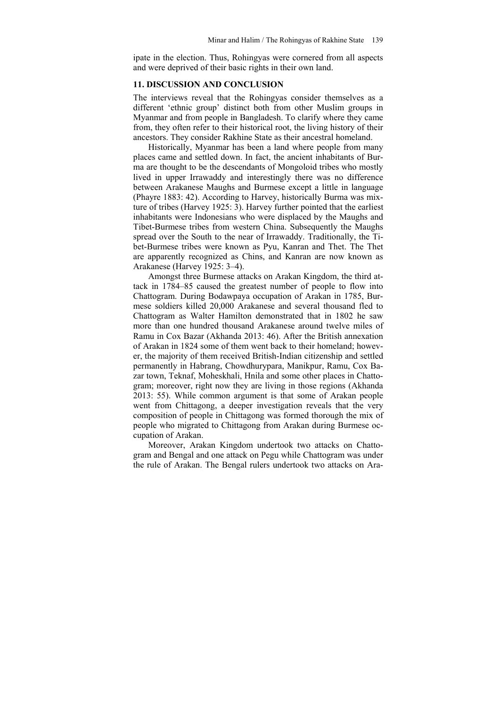ipate in the election. Thus, Rohingyas were cornered from all aspects and were deprived of their basic rights in their own land.

#### **11. DISCUSSION AND CONCLUSION**

The interviews reveal that the Rohingyas consider themselves as a different 'ethnic group' distinct both from other Muslim groups in Myanmar and from people in Bangladesh. To clarify where they came from, they often refer to their historical root, the living history of their ancestors. They consider Rakhine State as their ancestral homeland.

Historically, Myanmar has been a land where people from many places came and settled down. In fact, the ancient inhabitants of Burma are thought to be the descendants of Mongoloid tribes who mostly lived in upper Irrawaddy and interestingly there was no difference between Arakanese Maughs and Burmese except a little in language (Phayre 1883: 42). According to Harvey, historically Burma was mixture of tribes (Harvey 1925: 3). Harvey further pointed that the earliest inhabitants were Indonesians who were displaced by the Maughs and Tibet-Burmese tribes from western China. Subsequently the Maughs spread over the South to the near of Irrawaddy. Traditionally, the Tibet-Burmese tribes were known as Pyu, Kanran and Thet. The Thet are apparently recognized as Chins, and Kanran are now known as Arakanese (Harvey 1925: 3–4).

Amongst three Burmese attacks on Arakan Kingdom, the third attack in 1784–85 caused the greatest number of people to flow into Chattogram. During Bodawpaya occupation of Arakan in 1785, Burmese soldiers killed 20,000 Arakanese and several thousand fled to Chattogram as Walter Hamilton demonstrated that in 1802 he saw more than one hundred thousand Arakanese around twelve miles of Ramu in Cox Bazar (Akhanda 2013: 46). After the British annexation of Arakan in 1824 some of them went back to their homeland; however, the majority of them received British-Indian citizenship and settled permanently in Habrang, Chowdhurypara, Manikpur, Ramu, Cox Bazar town, Teknaf, Moheskhali, Hnila and some other places in Chattogram; moreover, right now they are living in those regions (Akhanda 2013: 55). While common argument is that some of Arakan people went from Chittagong, a deeper investigation reveals that the very composition of people in Chittagong was formed thorough the mix of people who migrated to Chittagong from Arakan during Burmese occupation of Arakan.

Moreover, Arakan Kingdom undertook two attacks on Chattogram and Bengal and one attack on Pegu while Chattogram was under the rule of Arakan. The Bengal rulers undertook two attacks on Ara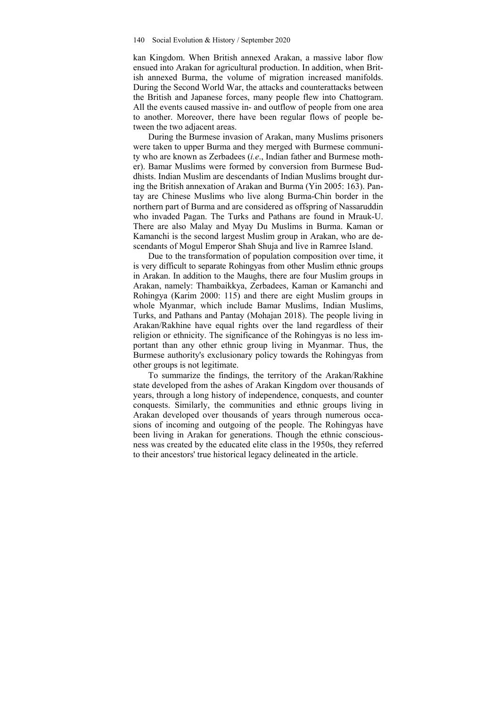kan Kingdom. When British annexed Arakan, a massive labor flow ensued into Arakan for agricultural production. In addition, when British annexed Burma, the volume of migration increased manifolds. During the Second World War, the attacks and counterattacks between the British and Japanese forces, many people flew into Chattogram. All the events caused massive in- and outflow of people from one area to another. Moreover, there have been regular flows of people between the two adjacent areas.

During the Burmese invasion of Arakan, many Muslims prisoners were taken to upper Burma and they merged with Burmese community who are known as Zerbadees (*i.e*., Indian father and Burmese mother). Bamar Muslims were formed by conversion from Burmese Buddhists. Indian Muslim are descendants of Indian Muslims brought during the British annexation of Arakan and Burma (Yin 2005: 163). Pantay are Chinese Muslims who live along Burma-Chin border in the northern part of Burma and are considered as offspring of Nassaruddin who invaded Pagan. The Turks and Pathans are found in Mrauk-U. There are also Malay and Myay Du Muslims in Burma. Kaman or Kamanchi is the second largest Muslim group in Arakan, who are descendants of Mogul Emperor Shah Shuja and live in Ramree Island.

Due to the transformation of population composition over time, it is very difficult to separate Rohingyas from other Muslim ethnic groups in Arakan. In addition to the Maughs, there are four Muslim groups in Arakan, namely: Thambaikkya, Zerbadees, Kaman or Kamanchi and Rohingya (Karim 2000: 115) and there are eight Muslim groups in whole Myanmar, which include Bamar Muslims, Indian Muslims, Turks, and Pathans and Pantay (Mohajan 2018). The people living in Arakan/Rakhine have equal rights over the land regardless of their religion or ethnicity. The significance of the Rohingyas is no less important than any other ethnic group living in Myanmar. Thus, the Burmese authority's exclusionary policy towards the Rohingyas from other groups is not legitimate.

To summarize the findings, the territory of the Arakan/Rakhine state developed from the ashes of Arakan Kingdom over thousands of years, through a long history of independence, conquests, and counter conquests. Similarly, the communities and ethnic groups living in Arakan developed over thousands of years through numerous occasions of incoming and outgoing of the people. The Rohingyas have been living in Arakan for generations. Though the ethnic consciousness was created by the educated elite class in the 1950s, they referred to their ancestors' true historical legacy delineated in the article.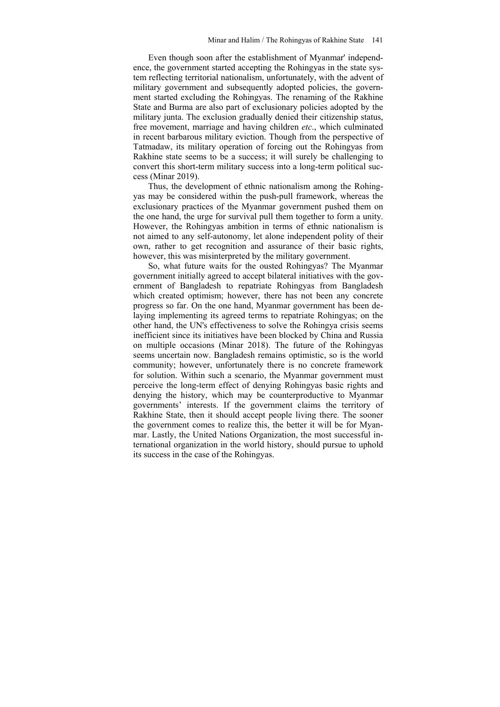Even though soon after the establishment of Myanmar' independence, the government started accepting the Rohingyas in the state system reflecting territorial nationalism, unfortunately, with the advent of military government and subsequently adopted policies, the government started excluding the Rohingyas. The renaming of the Rakhine State and Burma are also part of exclusionary policies adopted by the military junta. The exclusion gradually denied their citizenship status, free movement, marriage and having children *etc*., which culminated in recent barbarous military eviction. Though from the perspective of Tatmadaw, its military operation of forcing out the Rohingyas from Rakhine state seems to be a success; it will surely be challenging to convert this short-term military success into a long-term political success (Minar 2019).

Thus, the development of ethnic nationalism among the Rohingyas may be considered within the push-pull framework, whereas the exclusionary practices of the Myanmar government pushed them on the one hand, the urge for survival pull them together to form a unity. However, the Rohingyas ambition in terms of ethnic nationalism is not aimed to any self-autonomy, let alone independent polity of their own, rather to get recognition and assurance of their basic rights, however, this was misinterpreted by the military government.

So, what future waits for the ousted Rohingyas? The Myanmar government initially agreed to accept bilateral initiatives with the government of Bangladesh to repatriate Rohingyas from Bangladesh which created optimism; however, there has not been any concrete progress so far. On the one hand, Myanmar government has been delaying implementing its agreed terms to repatriate Rohingyas; on the other hand, the UN's effectiveness to solve the Rohingya crisis seems inefficient since its initiatives have been blocked by China and Russia on multiple occasions (Minar 2018). The future of the Rohingyas seems uncertain now. Bangladesh remains optimistic, so is the world community; however, unfortunately there is no concrete framework for solution. Within such a scenario, the Myanmar government must perceive the long-term effect of denying Rohingyas basic rights and denying the history, which may be counterproductive to Myanmar governments' interests. If the government claims the territory of Rakhine State, then it should accept people living there. The sooner the government comes to realize this, the better it will be for Myanmar. Lastly, the United Nations Organization, the most successful international organization in the world history, should pursue to uphold its success in the case of the Rohingyas.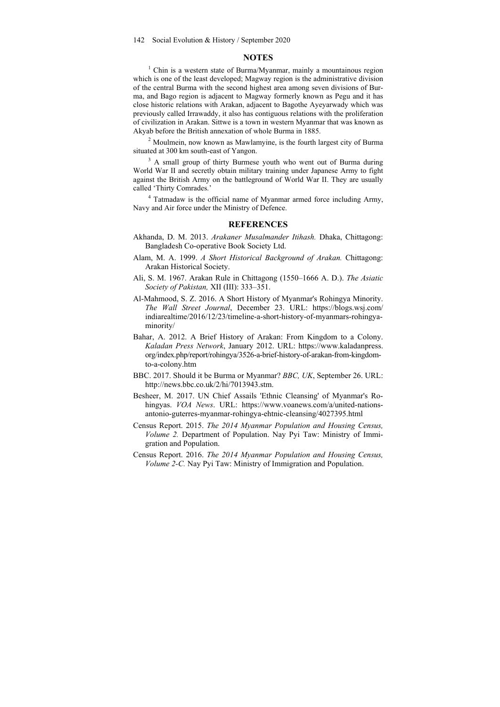#### **NOTES**

<sup>1</sup> Chin is a western state of Burma/Myanmar, mainly a mountainous region which is one of the least developed; Magway region is the administrative division of the central Burma with the second highest area among seven divisions of Burma, and Bago region is adjacent to Magway formerly known as Pegu and it has close historic relations with Arakan, adjacent to Bagothe Ayeyarwady which was previously called Irrawaddy, it also has contiguous relations with the proliferation of civilization in Arakan. Sittwe is a town in western Myanmar that was known as Akyab before the British annexation of whole Burma in 1885.

 $2$  Moulmein, now known as Mawlamyine, is the fourth largest city of Burma situated at 300 km south-east of Yangon.

<sup>3</sup> A small group of thirty Burmese youth who went out of Burma during World War II and secretly obtain military training under Japanese Army to fight against the British Army on the battleground of World War II. They are usually called 'Thirty Comrades.'

4 Tatmadaw is the official name of Myanmar armed force including Army, Navy and Air force under the Ministry of Defence.

#### **REFERENCES**

- Akhanda, D. M. 2013. *Arakaner Musalmander Itihash.* Dhaka, Chittagong: Bangladesh Co-operative Book Society Ltd.
- Alam, M. A. 1999. *A Short Historical Background of Arakan.* Chittagong: Arakan Historical Society.
- Ali, S. M. 1967. Arakan Rule in Chittagong (1550–1666 A. D.). *The Asiatic Society of Pakistan,* XII (III): 333–351.
- Al-Mahmood, S. Z. 2016. A Short History of Myanmar's Rohingya Minority. *The Wall Street Journal*, December 23. URL: https://blogs.wsj.com/ indiarealtime/2016/12/23/timeline-a-short-history-of-myanmars-rohingyaminority/
- Bahar, A. 2012. A Brief History of Arakan: From Kingdom to a Colony. *Kaladan Press Network*, January 2012. URL: https://www.kaladanpress. org/index.php/report/rohingya/3526-a-brief-history-of-arakan-from-kingdomto-a-colony.htm
- BBC. 2017. Should it be Burma or Myanmar? *BBC, UK*, September 26. URL: http://news.bbc.co.uk/2/hi/7013943.stm.
- Besheer, M. 2017. UN Chief Assails 'Ethnic Cleansing' of Myanmar's Rohingyas. *VOA News*. URL: https://www.voanews.com/a/united-nationsantonio-guterres-myanmar-rohingya-ehtnic-cleansing/4027395.html
- Census Report. 2015. *The 2014 Myanmar Population and Housing Census, Volume 2.* Department of Population. Nay Pyi Taw: Ministry of Immigration and Population.
- Census Report. 2016. *The 2014 Myanmar Population and Housing Census, Volume 2-C.* Nay Pyi Taw: Ministry of Immigration and Population.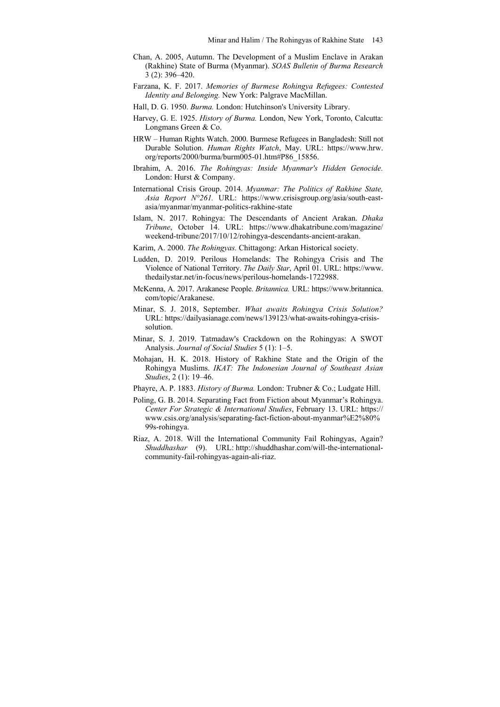- Chan, A. 2005, Autumn. The Development of a Muslim Enclave in Arakan (Rakhine) State of Burma (Myanmar). *SOAS Bulletin of Burma Research*  3 (2): 396–420.
- Farzana, K. F. 2017. *Memories of Burmese Rohingya Refugees: Contested Identity and Belonging.* New York: Palgrave MacMillan.
- Hall, D. G. 1950. *Burma.* London: Hutchinson's University Library.
- Harvey, G. E. 1925. *History of Burma.* London, New York, Toronto, Calcutta: Longmans Green & Co.
- HRW Human Rights Watch. 2000. Burmese Refugees in Bangladesh: Still not Durable Solution. *Human Rights Watch*, May. URL: https://www.hrw. org/reports/2000/burma/burm005-01.htm#P86\_15856.
- Ibrahim, A. 2016. *The Rohingyas: Inside Myanmar's Hidden Genocide.* London: Hurst & Company.
- International Crisis Group. 2014. *Myanmar: The Politics of Rakhine State, Asia Report N°261.* URL: https://www.crisisgroup.org/asia/south-eastasia/myanmar/myanmar-politics-rakhine-state
- Islam, N. 2017. Rohingya: The Descendants of Ancient Arakan. *Dhaka Tribune*, October 14. URL: https://www.dhakatribune.com/magazine/ weekend-tribune/2017/10/12/rohingya-descendants-ancient-arakan.
- Karim, A. 2000. *The Rohingyas.* Chittagong: Arkan Historical society.
- Ludden, D. 2019. Perilous Homelands: The Rohingya Crisis and The Violence of National Territory. *The Daily Star*, April 01. URL: https://www. thedailystar.net/in-focus/news/perilous-homelands-1722988.
- McKenna, A. 2017. Arakanese People. *Britannica.* URL: https://www.britannica. com/topic/Arakanese.
- Minar, S. J. 2018, September. *What awaits Rohingya Crisis Solution?*  URL: https://dailyasianage.com/news/139123/what-awaits-rohingya-crisissolution.
- Minar, S. J. 2019. Tatmadaw's Crackdown on the Rohingyas: A SWOT Analysis. *Journal of Social Studies* 5 (1): 1–5.
- Mohajan, H. K. 2018. History of Rakhine State and the Origin of the Rohingya Muslims. *IKAT: The Indonesian Journal of Southeast Asian Studies*, 2 (1): 19–46.
- Phayre, A. P. 1883. *History of Burma.* London: Trubner & Co.; Ludgate Hill.
- Poling, G. B. 2014. Separating Fact from Fiction about Myanmar's Rohingya. *Center For Strategic & International Studies*, February 13. URL: https:// www.csis.org/analysis/separating-fact-fiction-about-myanmar%E2%80% 99s-rohingya.
- Riaz, A. 2018. Will the International Community Fail Rohingyas, Again? *Shuddhashar* (9). URL: http://shuddhashar.com/will-the-internationalcommunity-fail-rohingyas-again-ali-riaz.